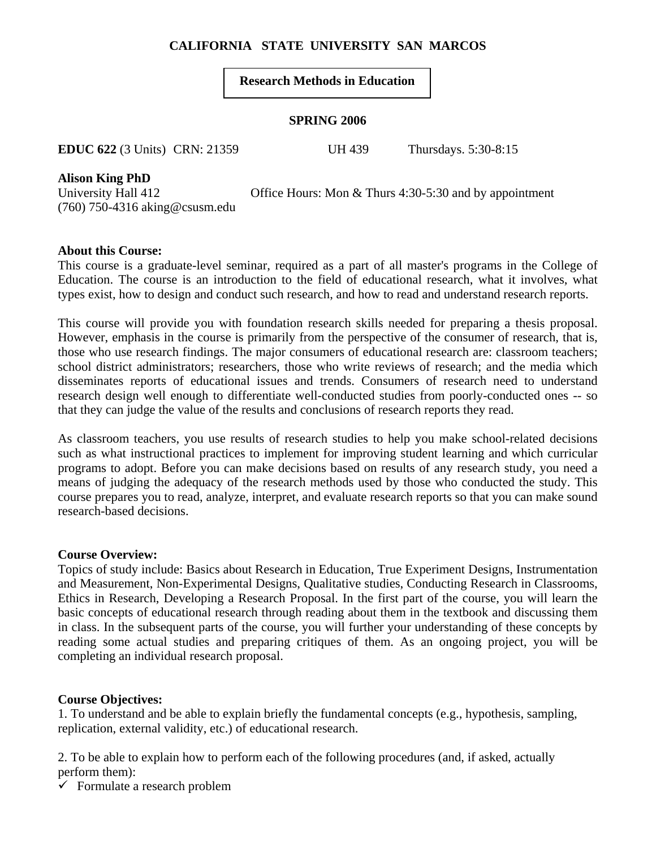# **CALIFORNIA STATE UNIVERSITY SAN MARCOS**

## **Research Methods in Education**

### **SPRING 2006**

**EDUC 622** (3 Units) CRN: 21359 UH 439 Thursdays. 5:30-8:15

**Alison King PhD** 

(760) 750-4316 aking@csusm.edu

University Hall 412 Office Hours: Mon & Thurs 4:30-5:30 and by appointment

## **About this Course:**

This course is a graduate-level seminar, required as a part of all master's programs in the College of Education. The course is an introduction to the field of educational research, what it involves, what types exist, how to design and conduct such research, and how to read and understand research reports.

This course will provide you with foundation research skills needed for preparing a thesis proposal. However, emphasis in the course is primarily from the perspective of the consumer of research, that is, those who use research findings. The major consumers of educational research are: classroom teachers; school district administrators; researchers, those who write reviews of research; and the media which disseminates reports of educational issues and trends. Consumers of research need to understand research design well enough to differentiate well-conducted studies from poorly-conducted ones -- so that they can judge the value of the results and conclusions of research reports they read.

As classroom teachers, you use results of research studies to help you make school-related decisions such as what instructional practices to implement for improving student learning and which curricular programs to adopt. Before you can make decisions based on results of any research study, you need a means of judging the adequacy of the research methods used by those who conducted the study. This course prepares you to read, analyze, interpret, and evaluate research reports so that you can make sound research-based decisions.

## **Course Overview:**

Topics of study include: Basics about Research in Education, True Experiment Designs, Instrumentation and Measurement, Non-Experimental Designs, Qualitative studies, Conducting Research in Classrooms, Ethics in Research, Developing a Research Proposal. In the first part of the course, you will learn the basic concepts of educational research through reading about them in the textbook and discussing them in class. In the subsequent parts of the course, you will further your understanding of these concepts by reading some actual studies and preparing critiques of them. As an ongoing project, you will be completing an individual research proposal.

## **Course Objectives:**

1. To understand and be able to explain briefly the fundamental concepts (e.g., hypothesis, sampling, replication, external validity, etc.) of educational research.

2. To be able to explain how to perform each of the following procedures (and, if asked, actually perform them):

 $\checkmark$  Formulate a research problem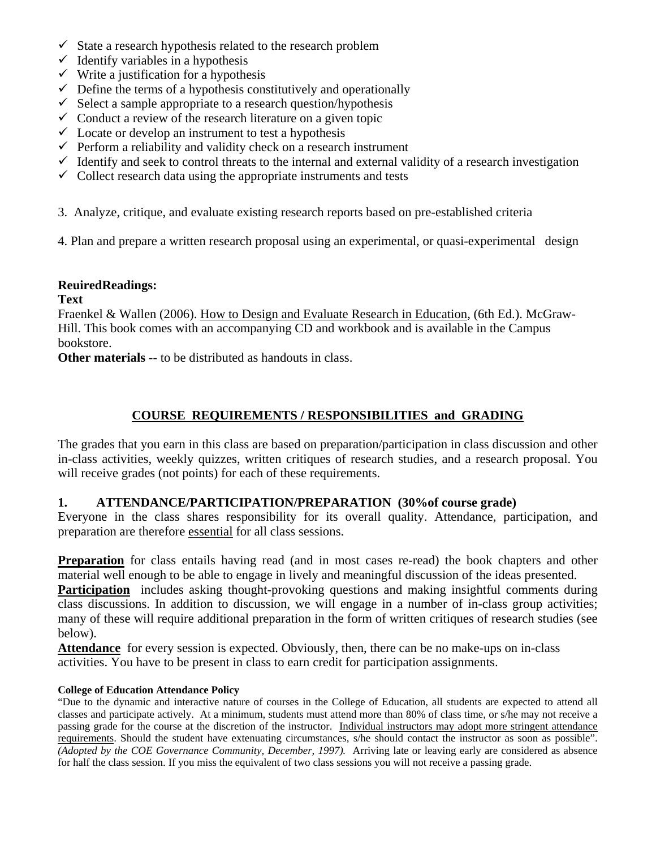- $\checkmark$  State a research hypothesis related to the research problem
- $\checkmark$  Identify variables in a hypothesis
- $\checkmark$  Write a justification for a hypothesis
- $\checkmark$  Define the terms of a hypothesis constitutively and operationally
- $\checkmark$  Select a sample appropriate to a research question/hypothesis
- $\checkmark$  Conduct a review of the research literature on a given topic
- $\checkmark$  Locate or develop an instrument to test a hypothesis
- $\checkmark$  Perform a reliability and validity check on a research instrument
- $\checkmark$  Identify and seek to control threats to the internal and external validity of a research investigation
- $\checkmark$  Collect research data using the appropriate instruments and tests
- 3. Analyze, critique, and evaluate existing research reports based on pre-established criteria
- 4. Plan and prepare a written research proposal using an experimental, or quasi-experimental design

## **ReuiredReadings:**

## **Text**

Fraenkel & Wallen (2006). How to Design and Evaluate Research in Education, (6th Ed.). McGraw-Hill. This book comes with an accompanying CD and workbook and is available in the Campus bookstore.

**Other materials** -- to be distributed as handouts in class.

# **COURSE REQUIREMENTS / RESPONSIBILITIES and GRADING**

The grades that you earn in this class are based on preparation/participation in class discussion and other in-class activities, weekly quizzes, written critiques of research studies, and a research proposal. You will receive grades (not points) for each of these requirements.

## **1. ATTENDANCE/PARTICIPATION/PREPARATION (30%of course grade)**

Everyone in the class shares responsibility for its overall quality. Attendance, participation, and preparation are therefore essential for all class sessions.

**Preparation** for class entails having read (and in most cases re-read) the book chapters and other material well enough to be able to engage in lively and meaningful discussion of the ideas presented.

**Participation** includes asking thought-provoking questions and making insightful comments during class discussions. In addition to discussion, we will engage in a number of in-class group activities; many of these will require additional preparation in the form of written critiques of research studies (see below).

**Attendance** for every session is expected. Obviously, then, there can be no make-ups on in-class activities. You have to be present in class to earn credit for participation assignments.

#### **College of Education Attendance Policy**

"Due to the dynamic and interactive nature of courses in the College of Education, all students are expected to attend all classes and participate actively. At a minimum, students must attend more than 80% of class time, or s/he may not receive a passing grade for the course at the discretion of the instructor. Individual instructors may adopt more stringent attendance requirements. Should the student have extenuating circumstances, s/he should contact the instructor as soon as possible". *(Adopted by the COE Governance Community, December, 1997).* Arriving late or leaving early are considered as absence for half the class session. If you miss the equivalent of two class sessions you will not receive a passing grade.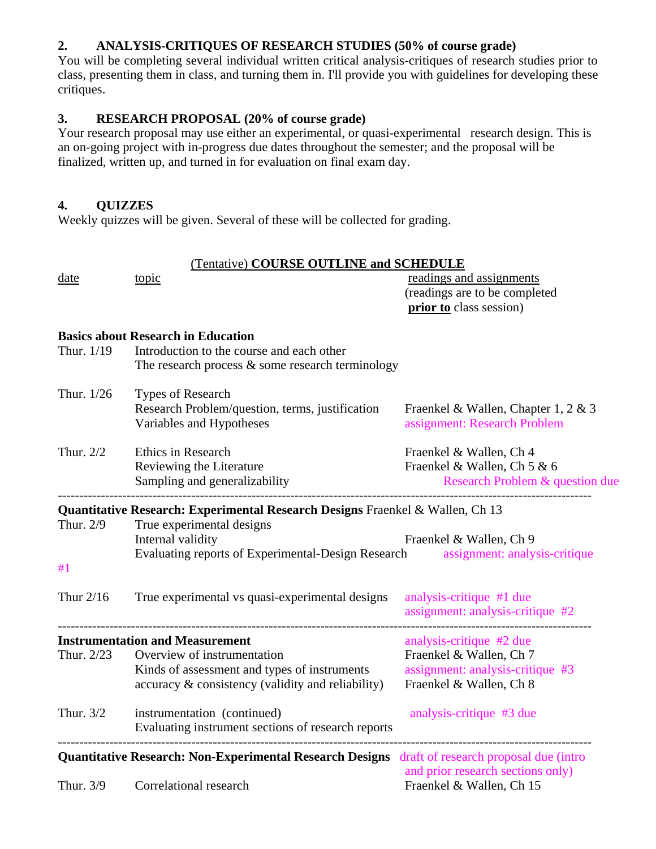# **2. ANALYSIS-CRITIQUES OF RESEARCH STUDIES (50% of course grade)**

You will be completing several individual written critical analysis-critiques of research studies prior to class, presenting them in class, and turning them in. I'll provide you with guidelines for developing these critiques.

# **3. RESEARCH PROPOSAL (20% of course grade)**

Your research proposal may use either an experimental, or quasi-experimental research design. This is an on-going project with in-progress due dates throughout the semester; and the proposal will be finalized, written up, and turned in for evaluation on final exam day.

## **4. QUIZZES**

Weekly quizzes will be given. Several of these will be collected for grading.

| Thur $2/16$<br>Thur. 2/23<br>Thur. 3/2 | <b>Instrumentation and Measurement</b><br>Overview of instrumentation<br>Kinds of assessment and types of instruments<br>accuracy & consistency (validity and reliability)<br>instrumentation (continued)<br>Evaluating instrument sections of research reports<br>Quantitative Research: Non-Experimental Research Designs draft of research proposal due (intro | assignment: analysis-critique #2<br>analysis-critique #2 due<br>Fraenkel & Wallen, Ch 7<br>assignment: analysis-critique #3<br>Fraenkel & Wallen, Ch 8<br>analysis-critique #3 due |  |
|----------------------------------------|-------------------------------------------------------------------------------------------------------------------------------------------------------------------------------------------------------------------------------------------------------------------------------------------------------------------------------------------------------------------|------------------------------------------------------------------------------------------------------------------------------------------------------------------------------------|--|
|                                        |                                                                                                                                                                                                                                                                                                                                                                   |                                                                                                                                                                                    |  |
|                                        |                                                                                                                                                                                                                                                                                                                                                                   |                                                                                                                                                                                    |  |
|                                        |                                                                                                                                                                                                                                                                                                                                                                   |                                                                                                                                                                                    |  |
|                                        |                                                                                                                                                                                                                                                                                                                                                                   |                                                                                                                                                                                    |  |
|                                        |                                                                                                                                                                                                                                                                                                                                                                   |                                                                                                                                                                                    |  |
|                                        | True experimental vs quasi-experimental designs                                                                                                                                                                                                                                                                                                                   | analysis-critique #1 due                                                                                                                                                           |  |
| #1                                     |                                                                                                                                                                                                                                                                                                                                                                   |                                                                                                                                                                                    |  |
| Thur. 2/9                              | Quantitative Research: Experimental Research Designs Fraenkel & Wallen, Ch 13<br>True experimental designs<br>Internal validity<br>Evaluating reports of Experimental-Design Research assignment: analysis-critique                                                                                                                                               | Fraenkel & Wallen, Ch 9                                                                                                                                                            |  |
|                                        | Sampling and generalizability                                                                                                                                                                                                                                                                                                                                     | <b>Research Problem &amp; question due</b>                                                                                                                                         |  |
|                                        | Reviewing the Literature                                                                                                                                                                                                                                                                                                                                          | Fraenkel & Wallen, Ch 5 & 6                                                                                                                                                        |  |
| Thur. $2/2$                            | Ethics in Research                                                                                                                                                                                                                                                                                                                                                | Fraenkel & Wallen, Ch 4                                                                                                                                                            |  |
| Thur. 1/26                             | Types of Research<br>Research Problem/question, terms, justification<br>Variables and Hypotheses                                                                                                                                                                                                                                                                  | Fraenkel & Wallen, Chapter 1, 2 & 3<br>assignment: Research Problem                                                                                                                |  |
| Thur. 1/19                             | Introduction to the course and each other<br>The research process $\&$ some research terminology                                                                                                                                                                                                                                                                  |                                                                                                                                                                                    |  |
|                                        | <b>Basics about Research in Education</b>                                                                                                                                                                                                                                                                                                                         |                                                                                                                                                                                    |  |
|                                        |                                                                                                                                                                                                                                                                                                                                                                   | prior to class session)                                                                                                                                                            |  |
|                                        | topic                                                                                                                                                                                                                                                                                                                                                             | readings and assignments<br>(readings are to be completed                                                                                                                          |  |
| date                                   |                                                                                                                                                                                                                                                                                                                                                                   |                                                                                                                                                                                    |  |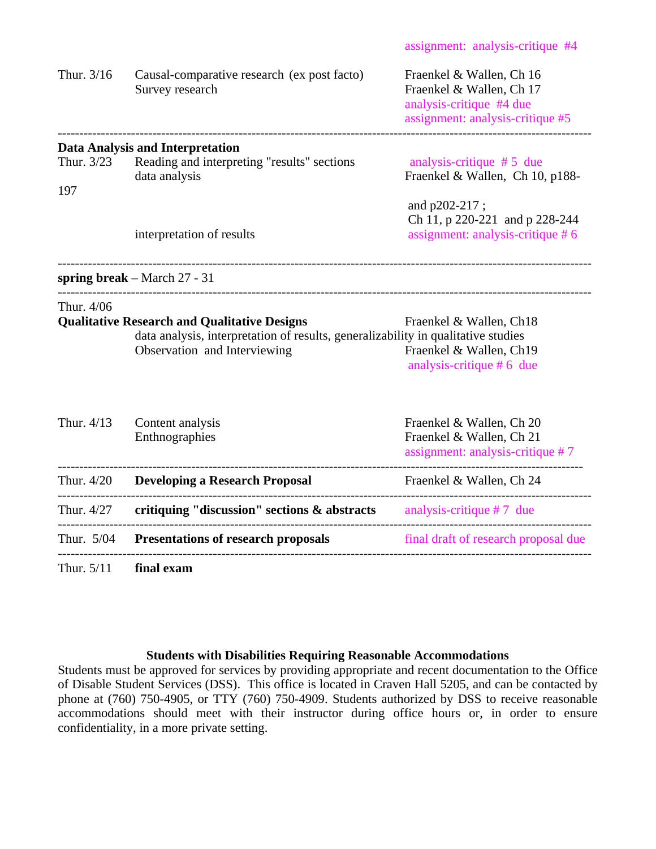| Thur. 3/16        | Causal-comparative research (ex post facto)<br>Survey research                                                                                                           | Fraenkel & Wallen, Ch 16<br>Fraenkel & Wallen, Ch 17<br>analysis-critique #4 due<br>assignment: analysis-critique #5 |
|-------------------|--------------------------------------------------------------------------------------------------------------------------------------------------------------------------|----------------------------------------------------------------------------------------------------------------------|
| Thur. 3/23<br>197 | <b>Data Analysis and Interpretation</b><br>Reading and interpreting "results" sections<br>data analysis                                                                  | analysis-critique $# 5$ due<br>Fraenkel & Wallen, Ch 10, p188-                                                       |
|                   | interpretation of results                                                                                                                                                | and p202-217;<br>Ch 11, p 220-221 and p 228-244<br>assignment: analysis-critique #6                                  |
|                   | spring break – March $27 - 31$                                                                                                                                           |                                                                                                                      |
| Thur. 4/06        | <b>Qualitative Research and Qualitative Designs</b><br>data analysis, interpretation of results, generalizability in qualitative studies<br>Observation and Interviewing | Fraenkel & Wallen, Ch18<br>Fraenkel & Wallen, Ch19<br>analysis-critique $# 6$ due                                    |
| Thur. 4/13        | Content analysis<br>Enthnographies                                                                                                                                       | Fraenkel & Wallen, Ch 20<br>Fraenkel & Wallen, Ch 21<br>assignment: analysis-critique #7                             |
| Thur. 4/20        | <b>Developing a Research Proposal</b>                                                                                                                                    | Fraenkel & Wallen, Ch 24                                                                                             |
| Thur. 4/27        | critiquing "discussion" sections $\&$ abstracts analysis-critique #7 due                                                                                                 |                                                                                                                      |
| Thur. 5/04        | <b>Presentations of research proposals</b>                                                                                                                               | final draft of research proposal due                                                                                 |
| Thur. 5/11        | final exam                                                                                                                                                               |                                                                                                                      |

## **Students with Disabilities Requiring Reasonable Accommodations**

Students must be approved for services by providing appropriate and recent documentation to the Office of Disable Student Services (DSS). This office is located in Craven Hall 5205, and can be contacted by phone at (760) 750-4905, or TTY (760) 750-4909. Students authorized by DSS to receive reasonable accommodations should meet with their instructor during office hours or, in order to ensure confidentiality, in a more private setting.